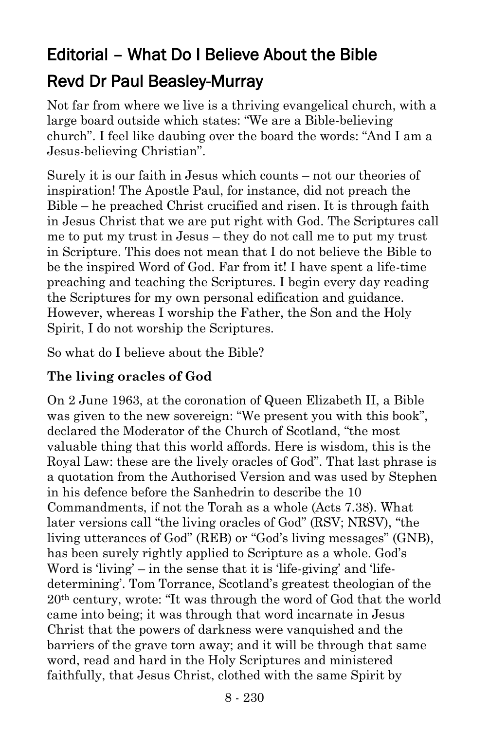# Editorial – What Do I Believe About the Bible Revd Dr Paul Beasley-Murray

Not far from where we live is a thriving evangelical church, with a large board outside which states: "We are a Bible-believing church". I feel like daubing over the board the words: "And I am a Jesus-believing Christian".

Surely it is our faith in Jesus which counts – not our theories of inspiration! The Apostle Paul, for instance, did not preach the Bible – he preached Christ crucified and risen. It is through faith in Jesus Christ that we are put right with God. The Scriptures call me to put my trust in Jesus – they do not call me to put my trust in Scripture. This does not mean that I do not believe the Bible to be the inspired Word of God. Far from it! I have spent a life-time preaching and teaching the Scriptures. I begin every day reading the Scriptures for my own personal edification and guidance. However, whereas I worship the Father, the Son and the Holy Spirit, I do not worship the Scriptures.

So what do I believe about the Bible?

## **The living oracles of God**

On 2 June 1963, at the coronation of Queen Elizabeth II, a Bible was given to the new sovereign: "We present you with this book", declared the Moderator of the Church of Scotland, "the most valuable thing that this world affords. Here is wisdom, this is the Royal Law: these are the lively oracles of God". That last phrase is a quotation from the Authorised Version and was used by Stephen in his defence before the Sanhedrin to describe the 10 Commandments, if not the Torah as a whole (Acts 7.38). What later versions call "the living oracles of God" (RSV; NRSV), "the living utterances of God" (REB) or "God's living messages" (GNB), has been surely rightly applied to Scripture as a whole. God's Word is 'living' – in the sense that it is 'life-giving' and 'lifedetermining'. Tom Torrance, Scotland's greatest theologian of the 20th century, wrote: "It was through the word of God that the world came into being; it was through that word incarnate in Jesus Christ that the powers of darkness were vanquished and the barriers of the grave torn away; and it will be through that same word, read and hard in the Holy Scriptures and ministered faithfully, that Jesus Christ, clothed with the same Spirit by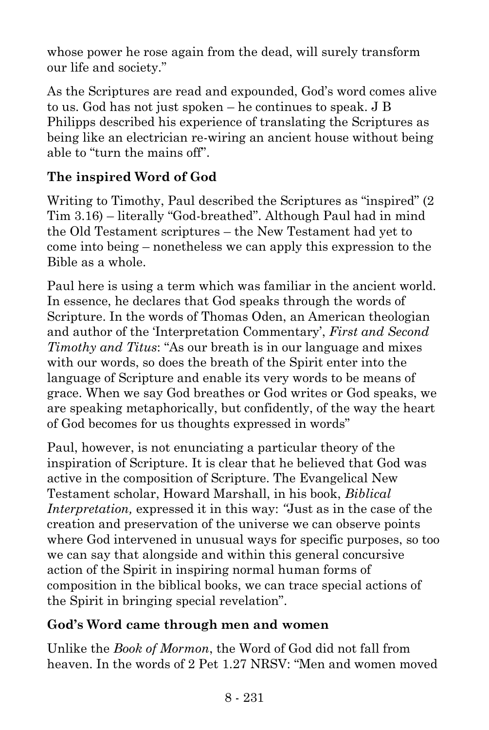whose power he rose again from the dead, will surely transform our life and society."

As the Scriptures are read and expounded, God's word comes alive to us. God has not just spoken – he continues to speak. J B Philipps described his experience of translating the Scriptures as being like an electrician re-wiring an ancient house without being able to "turn the mains off".

## **The inspired Word of God**

Writing to Timothy, Paul described the Scriptures as "inspired" (2 Tim 3.16) – literally "God-breathed". Although Paul had in mind the Old Testament scriptures – the New Testament had yet to come into being – nonetheless we can apply this expression to the Bible as a whole.

Paul here is using a term which was familiar in the ancient world. In essence, he declares that God speaks through the words of Scripture. In the words of Thomas Oden, an American theologian and author of the 'Interpretation Commentary', *First and Second Timothy and Titus*: "As our breath is in our language and mixes with our words, so does the breath of the Spirit enter into the language of Scripture and enable its very words to be means of grace. When we say God breathes or God writes or God speaks, we are speaking metaphorically, but confidently, of the way the heart of God becomes for us thoughts expressed in words"

Paul, however, is not enunciating a particular theory of the inspiration of Scripture. It is clear that he believed that God was active in the composition of Scripture. The Evangelical New Testament scholar, Howard Marshall, in his book, *Biblical Interpretation,* expressed it in this way: *"*Just as in the case of the creation and preservation of the universe we can observe points where God intervened in unusual ways for specific purposes, so too we can say that alongside and within this general concursive action of the Spirit in inspiring normal human forms of composition in the biblical books, we can trace special actions of the Spirit in bringing special revelation".

### **God's Word came through men and women**

Unlike the *Book of Mormon*, the Word of God did not fall from heaven. In the words of 2 Pet 1.27 NRSV: "Men and women moved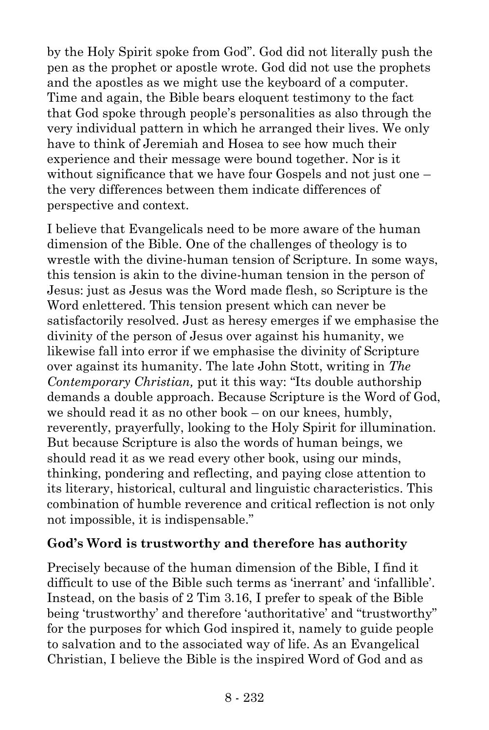by the Holy Spirit spoke from God". God did not literally push the pen as the prophet or apostle wrote. God did not use the prophets and the apostles as we might use the keyboard of a computer. Time and again, the Bible bears eloquent testimony to the fact that God spoke through people's personalities as also through the very individual pattern in which he arranged their lives. We only have to think of Jeremiah and Hosea to see how much their experience and their message were bound together. Nor is it without significance that we have four Gospels and not just one – the very differences between them indicate differences of perspective and context.

I believe that Evangelicals need to be more aware of the human dimension of the Bible. One of the challenges of theology is to wrestle with the divine-human tension of Scripture. In some ways, this tension is akin to the divine-human tension in the person of Jesus: just as Jesus was the Word made flesh, so Scripture is the Word enlettered. This tension present which can never be satisfactorily resolved. Just as heresy emerges if we emphasise the divinity of the person of Jesus over against his humanity, we likewise fall into error if we emphasise the divinity of Scripture over against its humanity. The late John Stott, writing in *The Contemporary Christian,* put it this way: "Its double authorship demands a double approach. Because Scripture is the Word of God, we should read it as no other book – on our knees, humbly, reverently, prayerfully, looking to the Holy Spirit for illumination. But because Scripture is also the words of human beings, we should read it as we read every other book, using our minds, thinking, pondering and reflecting, and paying close attention to its literary, historical, cultural and linguistic characteristics. This combination of humble reverence and critical reflection is not only not impossible, it is indispensable."

#### **God's Word is trustworthy and therefore has authority**

Precisely because of the human dimension of the Bible, I find it difficult to use of the Bible such terms as 'inerrant' and 'infallible'. Instead, on the basis of 2 Tim 3.16, I prefer to speak of the Bible being 'trustworthy' and therefore 'authoritative' and "trustworthy" for the purposes for which God inspired it, namely to guide people to salvation and to the associated way of life. As an Evangelical Christian, I believe the Bible is the inspired Word of God and as